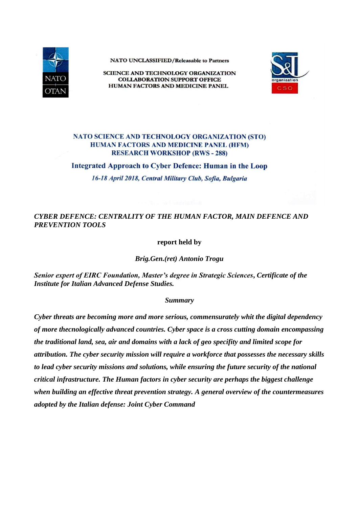

NATO UNCLASSIFIED/Releasable to Partners

**SCIENCE AND TECHNOLOGY ORGANIZATION COLLABORATION SUPPORT OFFICE** HUMAN FACTORS AND MEDICINE PANEL



## NATO SCIENCE AND TECHNOLOGY ORGANIZATION (STO) **HUMAN FACTORS AND MEDICINE PANEL (HFM) RESEARCH WORKSHOP (RWS-288)**

Integrated Approach to Cyber Defence: Human in the Loop

16-18 April 2018, Central Military Club, Sofia, Bulgaria

## *CYBER DEFENCE: CENTRALITY OF THE HUMAN FACTOR, MAIN DEFENCE AND PREVENTION TOOLS*

**report held by**

*Brig.Gen.(ret) Antonio Trogu*

*Senior expert of EIRC Foundation, Master's degree in Strategic Sciences***,** *Certificate of the Institute for Italian Advanced Defense Studies.* 

## *Summary*

*Cyber threats are becoming more and more serious, commensurately whit the digital dependency of more thecnologically advanced countries. Cyber space is a cross cutting domain encompassing the traditional land, sea, air and domains with a lack of geo specifity and limited scope for attribution. The cyber security mission will require a workforce that possesses the necessary skills to lead cyber security missions and solutions, while ensuring the future security of the national critical infrastructure. The Human factors in cyber security are perhaps the biggest challenge when building an effective threat prevention strategy. A general overview of the countermeasures adopted by the Italian defense: Joint Cyber Command*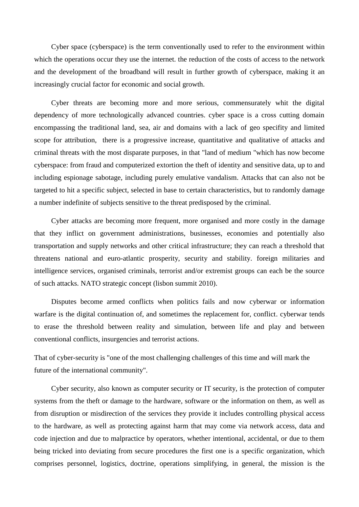Cyber space (cyberspace) is the term conventionally used to refer to the environment within which the operations occur they use the internet. the reduction of the costs of access to the network and the development of the broadband will result in further growth of cyberspace, making it an increasingly crucial factor for economic and social growth.

Cyber threats are becoming more and more serious, commensurately whit the digital dependency of more technologically advanced countries. cyber space is a cross cutting domain encompassing the traditional land, sea, air and domains with a lack of geo specifity and limited scope for attribution, there is a progressive increase, quantitative and qualitative of attacks and criminal threats with the most disparate purposes, in that "land of medium "which has now become cyberspace: from fraud and computerized extortion the theft of identity and sensitive data, up to and including espionage sabotage, including purely emulative vandalism. Attacks that can also not be targeted to hit a specific subject, selected in base to certain characteristics, but to randomly damage a number indefinite of subjects sensitive to the threat predisposed by the criminal.

Cyber attacks are becoming more frequent, more organised and more costly in the damage that they inflict on government administrations, businesses, economies and potentially also transportation and supply networks and other critical infrastructure; they can reach a threshold that threatens national and euro-atlantic prosperity, security and stability. foreign militaries and intelligence services, organised criminals, terrorist and/or extremist groups can each be the source of such attacks. NATO strategic concept (lisbon summit 2010).

Disputes become armed conflicts when politics fails and now cyberwar or information warfare is the digital continuation of, and sometimes the replacement for, conflict. cyberwar tends to erase the threshold between reality and simulation, between life and play and between conventional conflicts, insurgencies and terrorist actions.

That of cyber-security is "one of the most challenging challenges of this time and will mark the future of the international community".

Cyber security, also known as computer security or IT security, is the protection of computer systems from the theft or damage to the hardware, software or the information on them, as well as from disruption or misdirection of the services they provide it includes controlling physical access to the hardware, as well as protecting against harm that may come via network access, data and code injection and due to malpractice by operators, whether intentional, accidental, or due to them being tricked into deviating from secure procedures the first one is a specific organization, which comprises personnel, logistics, doctrine, operations simplifying, in general, the mission is the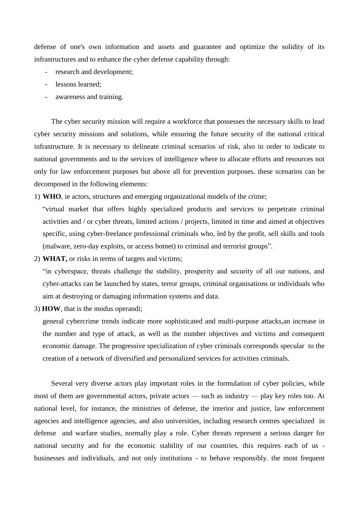defense of one's own information and assets and guarantee and optimize the solidity of its infrastructures and to enhance the cyber defense capability through:

- research and development;
- lessons learned;
- awareness and training.

The cyber security mission will require a workforce that possesses the necessary skills to lead cyber security missions and solutions, while ensuring the future security of the national critical infrastructure. It is necessary to delineate criminal scenarios of risk, also in order to indicate to national governments and to the services of intelligence where to allocate efforts and resources not only for law enforcement purposes but above all for prevention purposes. these scenarios can be decomposed in the following elements:

1) **WHO**, ie actors, structures and emerging organizational models of the crime;

"virtual market that offers highly specialized products and services to perpetrate criminal activities and / or cyber threats, limited actions / projects, limited in time and aimed at objectives specific, using cyber-freelance professional criminals who, led by the profit, sell skills and tools (malware, zero-day exploits, or access botnet) to criminal and terrorist groups".

2) **WHAT,** or risks in terms of targets and victims;

"in cyberspace, threats challenge the stability, prosperity and security of all our nations, and cyber-attacks can be launched by states, terror groups, criminal organisations or individuals who aim at destroying or damaging information systems and data.

3) **HOW**, that is the modus operandi;

general cybercrime trends indicate more sophisticated and multi-purpose attacks,an increase in the number and type of attack, as well as the number objectives and victims and consequent economic damage. The progressive specialization of cyber criminals corresponds specular to the creation of a network of diversified and personalized services for activities criminals.

Several very diverse actors play important roles in the formulation of cyber policies, while most of them are governmental actors, private actors — such as industry — play key roles too. At national level, for instance, the ministries of defense, the interior and justice, law enforcement agencies and intelligence agencies, and also universities, including research centres specialized in defense and warfare studies, normally play a role. Cyber threats represent a serious danger for national security and for the economic stability of our countries. this requires each of us businesses and individuals, and not only institutions - to behave responsibly. the most frequent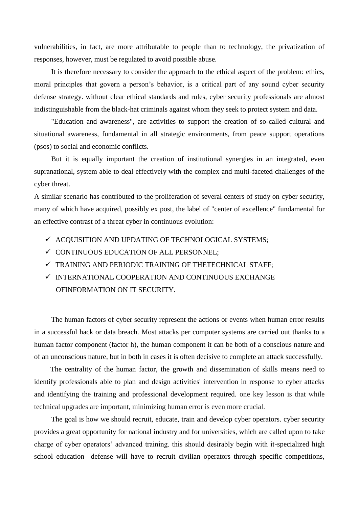vulnerabilities, in fact, are more attributable to people than to technology, the privatization of responses, however, must be regulated to avoid possible abuse.

It is therefore necessary to consider the approach to the ethical aspect of the problem: ethics, moral principles that govern a person's behavior, is a critical part of any sound cyber security defense strategy. without clear ethical standards and rules, cyber security professionals are almost indistinguishable from the black-hat criminals against whom they seek to protect system and data.

"Education and awareness", are activities to support the creation of so-called cultural and situational awareness, fundamental in all strategic environments, from peace support operations (psos) to social and economic conflicts.

But it is equally important the creation of institutional synergies in an integrated, even supranational, system able to deal effectively with the complex and multi-faceted challenges of the cyber threat.

A similar scenario has contributed to the proliferation of several centers of study on cyber security, many of which have acquired, possibly ex post, the label of "center of excellence" fundamental for an effective contrast of a threat cyber in continuous evolution:

- $\checkmark$  ACQUISITION AND UPDATING OF TECHNOLOGICAL SYSTEMS;
- $\checkmark$  CONTINUOUS EDUCATION OF ALL PERSONNEL:
- $\checkmark$  TRAINING AND PERIODIC TRAINING OF THETECHNICAL STAFF;
- $\checkmark$ INTERNATIONAL COOPERATION AND CONTINUOUS EXCHANGE OFINFORMATION ON IT SECURITY.

The human factors of cyber security represent the actions or events when human error results in a successful hack or data breach. Most attacks per computer systems are carried out thanks to a human factor component (factor h), the human component it can be both of a conscious nature and of an unconscious nature, but in both in cases it is often decisive to complete an attack successfully.

 The centrality of the human factor, the growth and dissemination of skills means need to identify professionals able to plan and design activities' intervention in response to cyber attacks and identifying the training and professional development required. one key lesson is that while technical upgrades are important, minimizing human error is even more crucial.

The goal is how we should recruit, educate, train and develop cyber operators. cyber security provides a great opportunity for national industry and for universities, which are called upon to take charge of cyber operators' advanced training. this should desirably begin with it-specialized high school education defense will have to recruit civilian operators through specific competitions,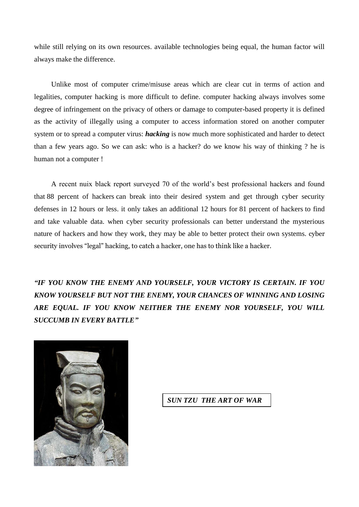while still relying on its own resources. available technologies being equal, the human factor will always make the difference.

Unlike most of computer crime/misuse areas which are clear cut in terms of action and legalities, computer hacking is more difficult to define. computer hacking always involves some degree of infringement on the privacy of others or damage to computer-based property it is defined as the activity of illegally using a computer to access information stored on another computer system or to spread a computer virus: *hacking* is now much more sophisticated and harder to detect than a few years ago. So we can ask: who is a hacker? do we know his way of thinking ? he is human not a computer !

A recent nuix black report surveyed 70 of the world's best professional hackers and found that [88 percent of hackers](http://www.information-age.com/cyber-security-hackers-perspective-123464671/) can break into their desired system and get through cyber security defenses in 12 hours or less. it only takes an additional 12 hours for [81 percent of hackers](http://www.information-age.com/cyber-security-hackers-perspective-123464671/) to find and take valuable data. when cyber security professionals can better understand the mysterious nature of hackers and how they work, they may be able to better protect their own systems. cyber security involves "legal" hacking, to catch a hacker, one has to think like a hacker.

*"IF YOU KNOW THE ENEMY AND YOURSELF, YOUR VICTORY IS CERTAIN. IF YOU KNOW YOURSELF BUT NOT THE ENEMY, YOUR CHANCES OF WINNING AND LOSING ARE EQUAL. IF YOU KNOW NEITHER THE ENEMY NOR YOURSELF, YOU WILL SUCCUMB IN EVERY BATTLE"*



*SUN TZU THE ART OF WAR*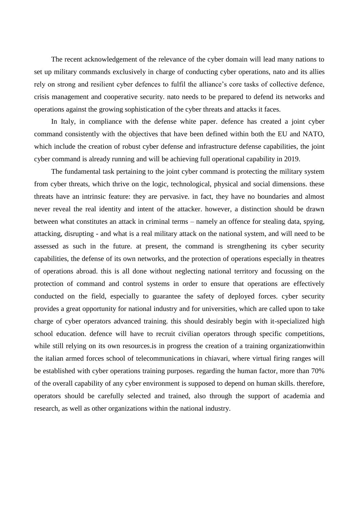The recent acknowledgement of the relevance of the cyber domain will lead many nations to set up military commands exclusively in charge of conducting cyber operations, nato and its allies rely on strong and resilient cyber defences to fulfil the alliance's core tasks of collective defence, crisis management and cooperative security. nato needs to be prepared to defend its networks and operations against the growing sophistication of the cyber threats and attacks it faces.

In Italy, in compliance with the defense white paper. defence has created a joint cyber command consistently with the objectives that have been defined within both the EU and NATO, which include the creation of robust cyber defense and infrastructure defense capabilities, the joint cyber command is already running and will be achieving full operational capability in 2019.

The fundamental task pertaining to the joint cyber command is protecting the military system from cyber threats, which thrive on the logic, technological, physical and social dimensions. these threats have an intrinsic feature: they are pervasive. in fact, they have no boundaries and almost never reveal the real identity and intent of the attacker. however, a distinction should be drawn between what constitutes an attack in criminal terms – namely an offence for stealing data, spying, attacking, disrupting - and what is a real military attack on the national system, and will need to be assessed as such in the future. at present, the command is strengthening its cyber security capabilities, the defense of its own networks, and the protection of operations especially in theatres of operations abroad. this is all done without neglecting national territory and focussing on the protection of command and control systems in order to ensure that operations are effectively conducted on the field, especially to guarantee the safety of deployed forces. cyber security provides a great opportunity for national industry and for universities, which are called upon to take charge of cyber operators advanced training. this should desirably begin with it-specialized high school education. defence will have to recruit civilian operators through specific competitions, while still relying on its own resources is in progress the creation of a training organization within the italian armed forces school of telecommunications in chiavari, where virtual firing ranges will be established with cyber operations training purposes. regarding the human factor, more than 70% of the overall capability of any cyber environment is supposed to depend on human skills. therefore, operators should be carefully selected and trained, also through the support of academia and research, as well as other organizations within the national industry.